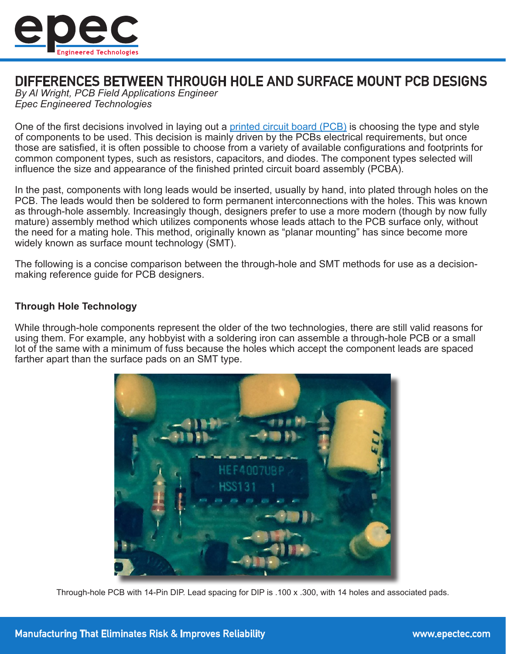

# DIFFERENCES BETWEEN THROUGH HOLE AND SURFACE MOUNT PCB DESIGNS

*By Al Wright, PCB Field Applications Engineer Epec Engineered Technologies*

One of the first decisions involved in laying out a [printed circuit board \(PCB\)](https://www.epectec.com/pcb/) is choosing the type and style of components to be used. This decision is mainly driven by the PCBs electrical requirements, but once those are satisfied, it is often possible to choose from a variety of available configurations and footprints for common component types, such as resistors, capacitors, and diodes. The component types selected will influence the size and appearance of the finished printed circuit board assembly (PCBA).

In the past, components with long leads would be inserted, usually by hand, into plated through holes on the PCB. The leads would then be soldered to form permanent interconnections with the holes. This was known as through-hole assembly. Increasingly though, designers prefer to use a more modern (though by now fully mature) assembly method which utilizes components whose leads attach to the PCB surface only, without the need for a mating hole. This method, originally known as "planar mounting" has since become more widely known as surface mount technology (SMT).

The following is a concise comparison between the through-hole and SMT methods for use as a decisionmaking reference guide for PCB designers.

## **Through Hole Technology**

While through-hole components represent the older of the two technologies, there are still valid reasons for using them. For example, any hobbyist with a soldering iron can assemble a through-hole PCB or a small lot of the same with a minimum of fuss because the holes which accept the component leads are spaced farther apart than the surface pads on an SMT type.



Through-hole PCB with 14-Pin DIP. Lead spacing for DIP is .100 x .300, with 14 holes and associated pads.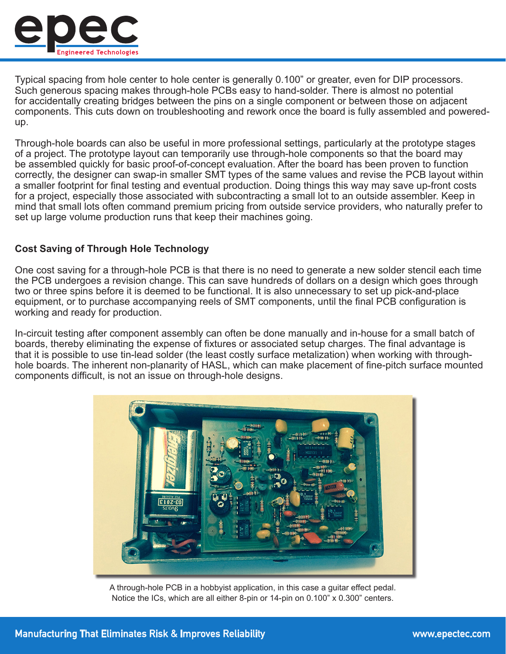

Typical spacing from hole center to hole center is generally 0.100" or greater, even for DIP processors. Such generous spacing makes through-hole PCBs easy to hand-solder. There is almost no potential for accidentally creating bridges between the pins on a single component or between those on adjacent components. This cuts down on troubleshooting and rework once the board is fully assembled and poweredup.

Through-hole boards can also be useful in more professional settings, particularly at the prototype stages of a project. The prototype layout can temporarily use through-hole components so that the board may be assembled quickly for basic proof-of-concept evaluation. After the board has been proven to function correctly, the designer can swap-in smaller SMT types of the same values and revise the PCB layout within a smaller footprint for final testing and eventual production. Doing things this way may save up-front costs for a project, especially those associated with subcontracting a small lot to an outside assembler. Keep in mind that small lots often command premium pricing from outside service providers, who naturally prefer to set up large volume production runs that keep their machines going.

# **Cost Saving of Through Hole Technology**

One cost saving for a through-hole PCB is that there is no need to generate a new solder stencil each time the PCB undergoes a revision change. This can save hundreds of dollars on a design which goes through two or three spins before it is deemed to be functional. It is also unnecessary to set up pick-and-place equipment, or to purchase accompanying reels of SMT components, until the final PCB configuration is working and ready for production.

In-circuit testing after component assembly can often be done manually and in-house for a small batch of boards, thereby eliminating the expense of fixtures or associated setup charges. The final advantage is that it is possible to use tin-lead solder (the least costly surface metalization) when working with throughhole boards. The inherent non-planarity of HASL, which can make placement of fine-pitch surface mounted components difficult, is not an issue on through-hole designs.



A through-hole PCB in a hobbyist application, in this case a guitar effect pedal. Notice the ICs, which are all either 8-pin or 14-pin on 0.100" x 0.300" centers.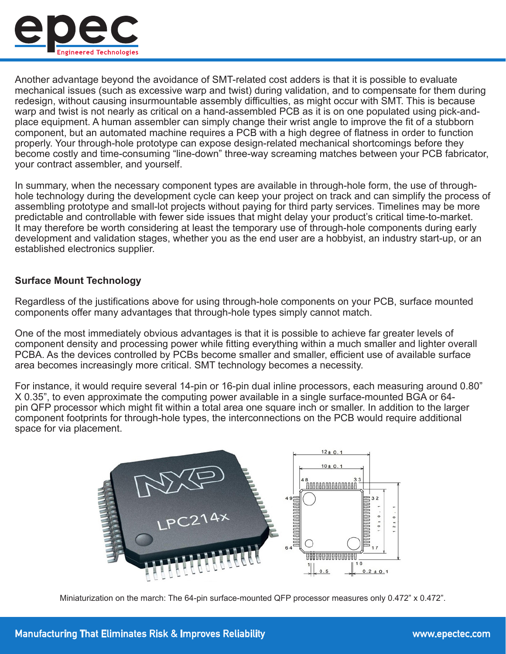

Another advantage beyond the avoidance of SMT-related cost adders is that it is possible to evaluate mechanical issues (such as excessive warp and twist) during validation, and to compensate for them during redesign, without causing insurmountable assembly difficulties, as might occur with SMT. This is because warp and twist is not nearly as critical on a hand-assembled PCB as it is on one populated using pick-andplace equipment. A human assembler can simply change their wrist angle to improve the fit of a stubborn component, but an automated machine requires a PCB with a high degree of flatness in order to function properly. Your through-hole prototype can expose design-related mechanical shortcomings before they become costly and time-consuming "line-down" three-way screaming matches between your PCB fabricator, your contract assembler, and yourself.

In summary, when the necessary component types are available in through-hole form, the use of throughhole technology during the development cycle can keep your project on track and can simplify the process of assembling prototype and small-lot projects without paying for third party services. Timelines may be more predictable and controllable with fewer side issues that might delay your product's critical time-to-market. It may therefore be worth considering at least the temporary use of through-hole components during early development and validation stages, whether you as the end user are a hobbyist, an industry start-up, or an established electronics supplier.

#### **Surface Mount Technology**

Regardless of the justifications above for using through-hole components on your PCB, surface mounted components offer many advantages that through-hole types simply cannot match.

One of the most immediately obvious advantages is that it is possible to achieve far greater levels of component density and processing power while fitting everything within a much smaller and lighter overall PCBA. As the devices controlled by PCBs become smaller and smaller, efficient use of available surface area becomes increasingly more critical. SMT technology becomes a necessity.

For instance, it would require several 14-pin or 16-pin dual inline processors, each measuring around 0.80" X 0.35", to even approximate the computing power available in a single surface-mounted BGA or 64 pin QFP processor which might fit within a total area one square inch or smaller. In addition to the larger component footprints for through-hole types, the interconnections on the PCB would require additional space for via placement.



Miniaturization on the march: The 64-pin surface-mounted QFP processor measures only 0.472" x 0.472".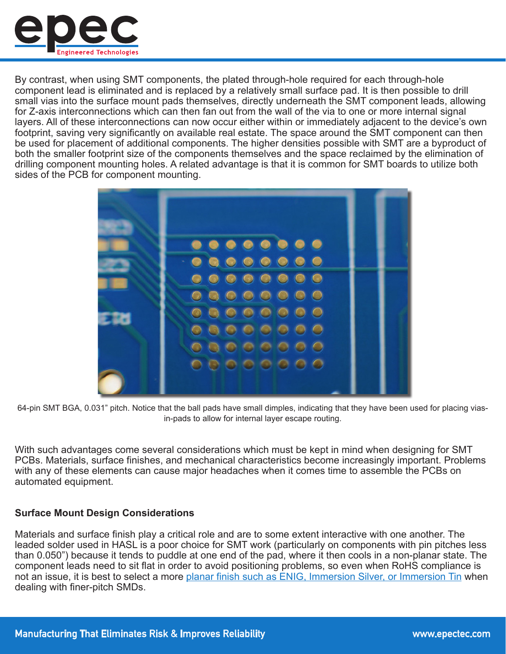

By contrast, when using SMT components, the plated through-hole required for each through-hole component lead is eliminated and is replaced by a relatively small surface pad. It is then possible to drill small vias into the surface mount pads themselves, directly underneath the SMT component leads, allowing for Z-axis interconnections which can then fan out from the wall of the via to one or more internal signal layers. All of these interconnections can now occur either within or immediately adjacent to the device's own footprint, saving very significantly on available real estate. The space around the SMT component can then be used for placement of additional components. The higher densities possible with SMT are a byproduct of both the smaller footprint size of the components themselves and the space reclaimed by the elimination of drilling component mounting holes. A related advantage is that it is common for SMT boards to utilize both sides of the PCB for component mounting.



64-pin SMT BGA, 0.031" pitch. Notice that the ball pads have small dimples, indicating that they have been used for placing viasin-pads to allow for internal layer escape routing.

With such advantages come several considerations which must be kept in mind when designing for SMT PCBs. Materials, surface finishes, and mechanical characteristics become increasingly important. Problems with any of these elements can cause major headaches when it comes time to assemble the PCBs on automated equipment.

## **Surface Mount Design Considerations**

Materials and surface finish play a critical role and are to some extent interactive with one another. The leaded solder used in HASL is a poor choice for SMT work (particularly on components with pin pitches less than 0.050") because it tends to puddle at one end of the pad, where it then cools in a non-planar state. The component leads need to sit flat in order to avoid positioning problems, so even when RoHS compliance is not an issue, it is best to select a more [planar finish such as ENIG, Immersion Silver, or Immersion Tin](https://www.epectec.com/articles/pcb-surface-finish-advantages-and-disadvantages.html) when dealing with finer-pitch SMDs.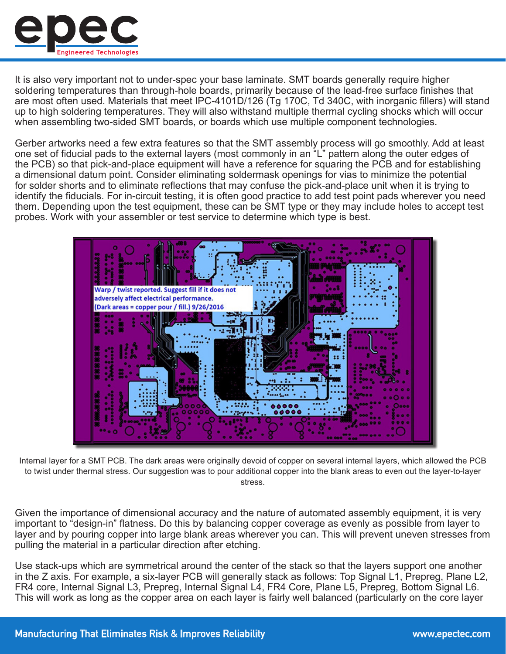

It is also very important not to under-spec your base laminate. SMT boards generally require higher soldering temperatures than through-hole boards, primarily because of the lead-free surface finishes that are most often used. Materials that meet IPC-4101D/126 (Tg 170C, Td 340C, with inorganic fillers) will stand up to high soldering temperatures. They will also withstand multiple thermal cycling shocks which will occur when assembling two-sided SMT boards, or boards which use multiple component technologies.

Gerber artworks need a few extra features so that the SMT assembly process will go smoothly. Add at least one set of fiducial pads to the external layers (most commonly in an "L" pattern along the outer edges of the PCB) so that pick-and-place equipment will have a reference for squaring the PCB and for establishing a dimensional datum point. Consider eliminating soldermask openings for vias to minimize the potential for solder shorts and to eliminate reflections that may confuse the pick-and-place unit when it is trying to identify the fiducials. For in-circuit testing, it is often good practice to add test point pads wherever you need them. Depending upon the test equipment, these can be SMT type or they may include holes to accept test probes. Work with your assembler or test service to determine which type is best.



Internal layer for a SMT PCB. The dark areas were originally devoid of copper on several internal layers, which allowed the PCB to twist under thermal stress. Our suggestion was to pour additional copper into the blank areas to even out the layer-to-layer stress.

Given the importance of dimensional accuracy and the nature of automated assembly equipment, it is very important to "design-in" flatness. Do this by balancing copper coverage as evenly as possible from layer to layer and by pouring copper into large blank areas wherever you can. This will prevent uneven stresses from pulling the material in a particular direction after etching.

Use stack-ups which are symmetrical around the center of the stack so that the layers support one another in the Z axis. For example, a six-layer PCB will generally stack as follows: Top Signal L1, Prepreg, Plane L2, FR4 core, Internal Signal L3, Prepreg, Internal Signal L4, FR4 Core, Plane L5, Prepreg, Bottom Signal L6. This will work as long as the copper area on each layer is fairly well balanced (particularly on the core layer